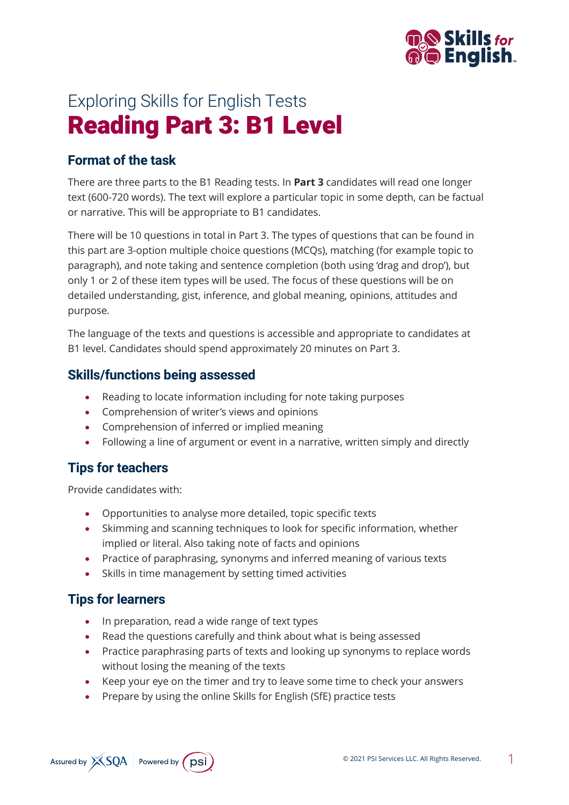

# Exploring Skills for English Tests Reading Part 3: B1 Level

### **Format of the task**

There are three parts to the B1 Reading tests. In **Part 3** candidates will read one longer text (600-720 words). The text will explore a particular topic in some depth, can be factual or narrative. This will be appropriate to B1 candidates.

There will be 10 questions in total in Part 3. The types of questions that can be found in this part are 3-option multiple choice questions (MCQs), matching (for example topic to paragraph), and note taking and sentence completion (both using 'drag and drop'), but only 1 or 2 of these item types will be used. The focus of these questions will be on detailed understanding, gist, inference, and global meaning, opinions, attitudes and purpose.

The language of the texts and questions is accessible and appropriate to candidates at B1 level. Candidates should spend approximately 20 minutes on Part 3.

#### **Skills/functions being assessed**

- Reading to locate information including for note taking purposes
- Comprehension of writer's views and opinions
- Comprehension of inferred or implied meaning
- Following a line of argument or event in a narrative, written simply and directly

#### **Tips for teachers**

Provide candidates with:

- Opportunities to analyse more detailed, topic specific texts
- Skimming and scanning techniques to look for specific information, whether implied or literal. Also taking note of facts and opinions
- Practice of paraphrasing, synonyms and inferred meaning of various texts
- Skills in time management by setting timed activities

## **Tips for learners**

- In preparation, read a wide range of text types
- Read the questions carefully and think about what is being assessed
- Practice paraphrasing parts of texts and looking up synonyms to replace words without losing the meaning of the texts
- Keep your eye on the timer and try to leave some time to check your answers
- Prepare by using the online Skills for English (SfE) practice tests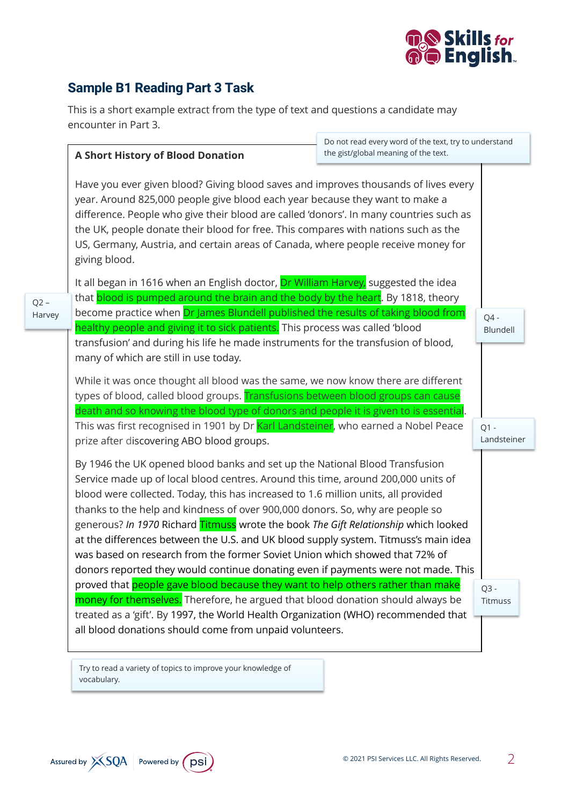

# **Sample B1 Reading Part 3 Task**

 $Q2 -$ 

This is a short example extract from the type of text and questions a candidate may encounter in Part 3.

×

|                  | Do not read every word of the text, try to understand<br>the gist/global meaning of the text.<br><b>A Short History of Blood Donation</b><br>Have you ever given blood? Giving blood saves and improves thousands of lives every<br>year. Around 825,000 people give blood each year because they want to make a<br>difference. People who give their blood are called 'donors'. In many countries such as<br>the UK, people donate their blood for free. This compares with nations such as the<br>US, Germany, Austria, and certain areas of Canada, where people receive money for<br>giving blood.                                                                                    |  |                       |
|------------------|-------------------------------------------------------------------------------------------------------------------------------------------------------------------------------------------------------------------------------------------------------------------------------------------------------------------------------------------------------------------------------------------------------------------------------------------------------------------------------------------------------------------------------------------------------------------------------------------------------------------------------------------------------------------------------------------|--|-----------------------|
|                  |                                                                                                                                                                                                                                                                                                                                                                                                                                                                                                                                                                                                                                                                                           |  |                       |
| $Q2 -$<br>Harvey | It all began in 1616 when an English doctor, Dr William Harvey, suggested the idea<br>that blood is pumped around the brain and the body by the heart. By 1818, theory<br>become practice when Dr James Blundell published the results of taking blood from                                                                                                                                                                                                                                                                                                                                                                                                                               |  | $Q4 -$                |
|                  | healthy people and giving it to sick patients. This process was called 'blood<br>transfusion' and during his life he made instruments for the transfusion of blood,<br>many of which are still in use today.                                                                                                                                                                                                                                                                                                                                                                                                                                                                              |  | Blundell              |
|                  | While it was once thought all blood was the same, we now know there are different<br>types of blood, called blood groups. Transfusions between blood groups can cause<br>death and so knowing the blood type of donors and people it is given to is essential.                                                                                                                                                                                                                                                                                                                                                                                                                            |  |                       |
|                  | This was first recognised in 1901 by Dr Karl Landsteiner, who earned a Nobel Peace<br>prize after discovering ABO blood groups.                                                                                                                                                                                                                                                                                                                                                                                                                                                                                                                                                           |  | $Q1 -$<br>Landsteiner |
|                  | By 1946 the UK opened blood banks and set up the National Blood Transfusion<br>Service made up of local blood centres. Around this time, around 200,000 units of<br>blood were collected. Today, this has increased to 1.6 million units, all provided<br>thanks to the help and kindness of over 900,000 donors. So, why are people so<br>generous? In 1970 Richard Titmuss wrote the book The Gift Relationship which looked<br>at the differences between the U.S. and UK blood supply system. Titmuss's main idea<br>was based on research from the former Soviet Union which showed that 72% of<br>donors reported they would continue donating even if payments were not made. This |  |                       |
|                  | proved that people gave blood because they want to help others rather than make<br>money for themselves. Therefore, he argued that blood donation should always be<br>treated as a 'gift'. By 1997, the World Health Organization (WHO) recommended that<br>all blood donations should come from unpaid volunteers.                                                                                                                                                                                                                                                                                                                                                                       |  | $Q3 -$<br>Titmuss     |

Try to read a variety of topics to improve your knowledge of vocabulary.